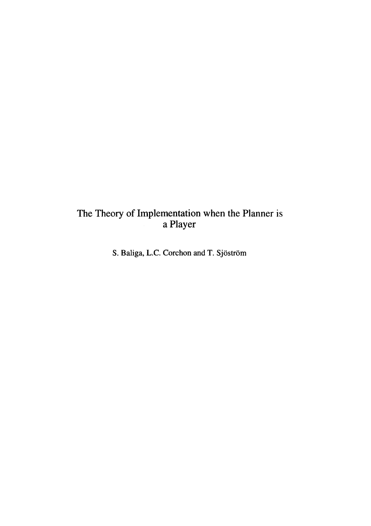# The Theory of Implementation when the Planner is<br>a Player

S. Baliga, L.C. Corchon and T. Sjöström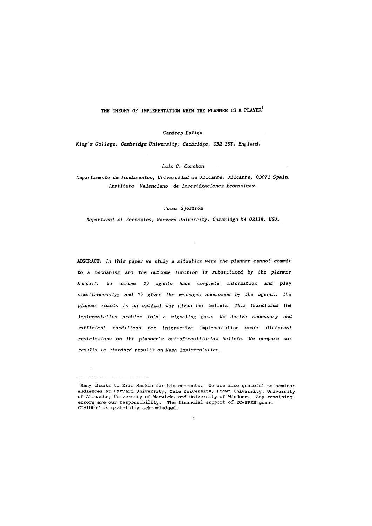# THE THEORY OF IMPLEMENTATION WHEN THE PLANNER IS A PLAYER<sup>1</sup>

*Sandeep Baliga* 

*King's College, Cambridge University, Cambridge, CB2 1ST, England.* 

*Luis C. Corchon* 

# *Departamento* de *Fundamentos, Universidad* de *Alicante. Alicante, 03071 Spain. Instituto Valenciano* de *Investigaciones Economicas.*

#### *Tomas Sjostrom*

*Department of Economics, Harvard University, Cambridge HA 02138, USA.* 

Revised: February 15, 1995

ABSTRACT: *In this paper we study* a *situation were the planner cannot commit*  to a *mechanism* and the outcome function is substituted by the planner *herself. We assume* 1) *agents have complete information* and *play simultaneously; and* 2) *given the messages* announced *by the agents, the planner reacts in an optimal way given her beliefs. This transforms the implementation problem into* a *signaling game. We derive necessary and sufficient conditions for* interactive implementation under *different restrictions on the planner's out-of-equilibrium beliefs. We compare* our *results to standard results on Nash implementation.* 

 $\mathbf{1}$ 

<sup>&</sup>lt;sup>1</sup> Many thanks to Eric Maskin for his comments. We are also grateful to seminar audiences at Harvard University, Yale University, Brown University, University of Alicante, University of Warwick, and University of Windsor. Any remaining errors are our responsibility. The financial support of EC-SPES grant CT910057 is gratefully acknowledged.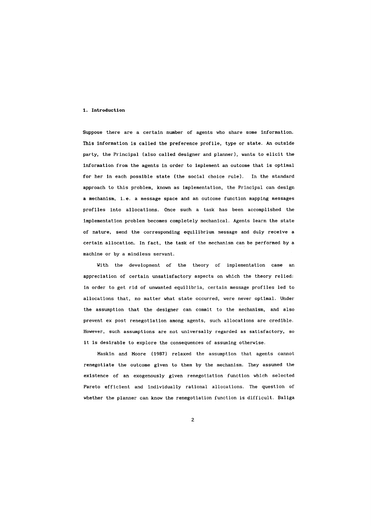#### **1. Introduction**

Suppose there are a certain number of agents who share some information. This information is called the preference profile, type or state. An outside party, the Principal (also called designer and planner), wants to elicit the information from the agents **in** order to implement an outcome that is optimal for her in each possible state (the social choice rule). In the standard approach to this problem, known as implementation, the Principal can design a mechanism, i.e. a message space and an outcome function mapping messages profiles into allocations. Once such a task has been accomplished the implementation problem becomes completely mechanical. Agents learn the state of nature, send the corresponding equilibrium message and duly receive a certain allocation. In fact, the task of the mechanism can be performed by a machine or by a mindless servant.

With the development of the theory of implementation came an appreciation of certain unsatisfactory aspects on which the theory relied: in order to get rid of unwanted equilibria, certain message profiles led to allocations that, no matter what state occurred, were never optimal. Under the assumption that the designer can commit to the mechanism, and also prevent ex post renegotiation among agents, such allocations are credible. However, such assumptions are not universally regarded as satisfactory, so it is desirable to explore the consequences of assuming otherwise.

Maskin and Moore (1987) relaxed the assumption that agents cannot renegotiate the outcome given to them by the mechanism. They assumed the existence of an exogenously given renegotiation function which selected Pareto efficient and individually rational allocations. The question of whether the planner can know the renegotiation function is difficult. Baliga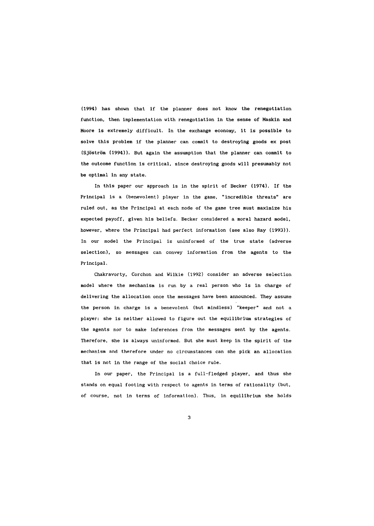(1994) has shown that if the planner does not know the renegotiation function, then implementation with renegotiation in the sense of Maskin and Moore is extremely difficult. In the exchange economy, it is possible to solve this problem if the planner can commit to destroying goods ex post (Sjostrom (1994)). But again the assumption that the planner can commit to the outcome function is critical, since destroying goods will presumably not be optimal in any state.

In this paper our approach is in the spirit of Becker (1974). If the Principal is a (benevolent) player in the game, "incredible threats" are ruled out, as the Principal at each node of the game tree must maximize his expected payoff, given his beliefs. Becker considered a moral hazard model, however, where the Principal had perfect information (see also Ray (1993)). In our model the Principal is uninformed of the true state (adverse selection), so messages can convey information from the agents to the Principal.

Chakravorty, Corchon and Wilkie (1992) consider an adverse selection model where the mechanism is run by a real person who is in charge of delivering the allocation once the messages have been announced. They assume the person in charge is a benevolent (but mindless) "keeper" and not a player: she is neither allowed to figure out the equilibrium strategies of the agents nor to make inferences from the messages sent by the agents. Therefore, she is always uninformed. But she must keep in the spirit of the mechanism and therefore under no circumstances can she pick an allocation that is not in the range of the social choice rule.

In our paper, the Principal is a full-fledged player, and thus she stands on equal footing with respect to agents in terms of rationality (but, of course, not in terms of information). Thus, in equilibrium she holds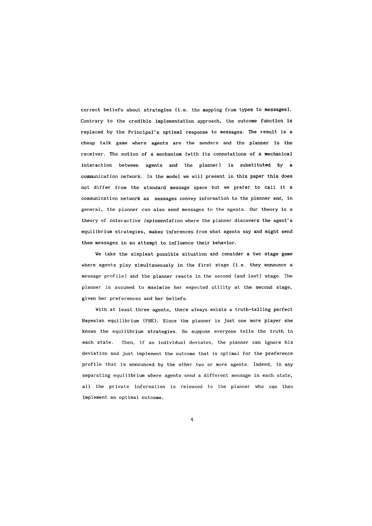correct beliefs about strategies (i.e. the mapping from types to messages). Contrary to the credible implementation approach, the outcome function is replaced by the Principal's optimal response to messages. The result is a cheap talk game where agents are the senders and the planner is the receiver. The notion of a mechanism (with its connotations of a mechanical interaction between agents and the planner) is substituted by a *communication network.* In the model we will present in this paper this does not differ from the standard message space but we prefer to call it <sup>a</sup> communication network as messages convey information to the planner and, in general, the planner can also send messages to the agents. Our theory is a theory of *interactive implementation* where the planner discovers the agent's equilibrium strategies, makes inferences from what agents say and might send them messages in an attempt to influence their behavior.

We take the simplest possible situation and consider a two stage game where agents play simultaneously in the first stage (i.e. they announce a message profile) and the planner reacts in the second (and last) stage. The planner is assumed to maximize her expected utility at the second stage, given her preferences and her beliefs.

With at least three agents, there always exists a truth-telling perfect Bayesian equilibrium (PBE). Since the planner is just one more player she knows the equilibrium strategies. So suppose everyone tells the truth in each state. Then, if an individual deviates, the planner can ignore his deviation and just implement the outcome that is optimal for the preference profile that is announced by the other two or more agents. Indeed, in any separating equilibrium where agents send a different message in each state, all the private information is released to the planner who can then implement an optimal outcome.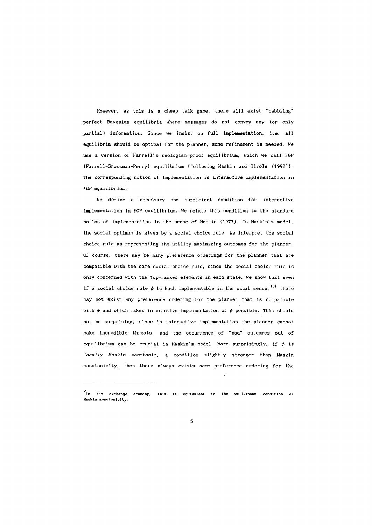However, as this is a cheap talk game, there will exist "babbling" perfect Bayesian equilibria where messages do not convey any (or only partial) information. Since we insist on full implementation, i.e. all equilibria should be optimal for the planner, some refinement is needed. We use a version of Farrell's neologism proof equilibrium, which we call FGP (Farrell-Grossman-Perry) equilibrium (following Maskin and Tirole (1992». The corresponding notion of implementation is *interactive implementation in FGP equilibrium.* 

We define a necessary and sufficient condition for interactive implementation in FGP equilibrium. We relate this condition to the standard notion of implementation in the sense of Maskin (1977). In Maskin's model, the social optimum is given by a social choice rule. We interpret the social choice rule as representing the utility maximizing outcomes for the planner. Of course, there may be many preference orderings for the planner that are compatible with the same social choice rule, since the social choice rule is only concerned with the top-ranked elements in each state. We show that even if a social choice rule  $\phi$  is Nash implementable in the usual sense, <sup>(2)</sup> there may not exist *any* preference ordering for the planner that is compatible with  $\phi$  and which makes interactive implementation of  $\phi$  possible. This should not be surprising, since in interactive implementation the planner cannot make incredible threats, and the occurrence of "bad" outcomes out of equilibrium can be crucial in Maskin's model. More surprisingly, if  $\phi$  is *locally Haskin monotonic,* a condition slightly stronger than Maskin monotonici ty, then there always exists *some* preference ordering for the

<sup>2</sup>  **In the exchange economy, this Is equivalent to the well-known condition of Haskln monotonlcl ty.**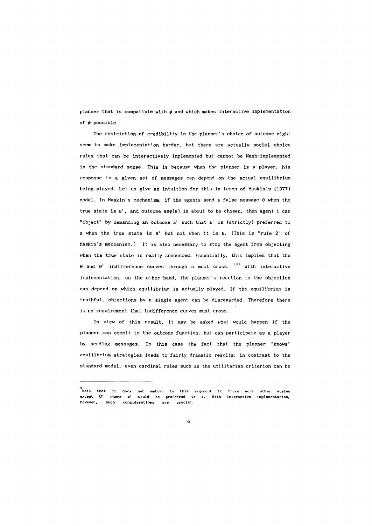planner that is compatible with  $\phi$  and which makes interactive implementation of  $\phi$  possible.

The restriction of credibility in the planner's choice of outcome might seem to make implementation harder, but there are actually social choice rules that can be interactively implemented but cannot be Nash-implemented in the standard sense. This is because when the planner is a player, his response to a given set of messages can depend on the actual equilibrium being played. Let us give an intuition for this in terms of Maskin's (1977) model. In Maskin's mechanism, if the agents send a false message  $\theta$  when the true state is  $\theta'$ , and outcome ae $\phi(\theta)$  is about to be chosen, then agent i can "object" by demanding an outcome a' such that a' is (strictly) preferred to a when the true state is  $\theta'$  but not when it is  $\theta$ . (This is "rule 2" of Maskin's mechanism.) It is also necessary to stop the agent from objecting when the true state is really announced. Essentially, this implies that the  $\theta$  and  $\theta'$  indifference curves through a must cross. <sup>(3)</sup> With interactive implementation, on the other hand, the planner's reaction to the objection can depend on which equilibrium is actually played. If the equilibrium is truthful, objections by a single agent can be disregarded. Therefore there is no requirement that indifference curves must cross.

In view of this result, it may be asked what would happen if the planner can commit to the outcome function, but can participate as a player by sending messages. In this case the fact that the planner "knows" equilibrium strategies leads to fairly dramatic results: in contrast to the standard model, even cardinal rules such as the utilitarian criterion can be

<sup>3</sup>  **Note that It does not matter to this argument lf there were other states**  except  $\theta$ ' where a' would be preferred to a. With interactive implementation, **however, such considerations** are **crucial.**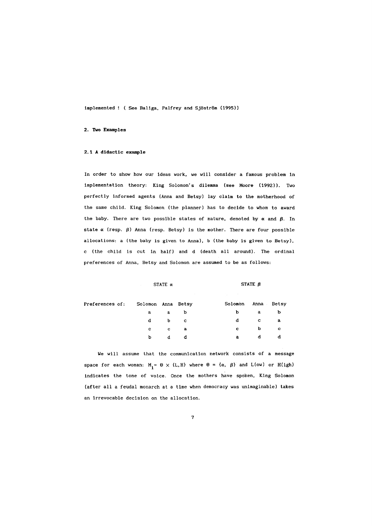implemented ! ( See Baliga, Palfrey and Sjöström (1995))

#### 2. Two Examples

### 2.1 A didactic example

In order to show how our ideas work, we will consider a famous problem in implementation theory: King Solomon's dilemma (see Moore (1992)). Two perfectly informed agents (Anna and Betsy) lay claim to the motherhood of the same child. King Solomon (the planner) has to decide to whom to award the baby. There are two possible states of nature, denoted by  $\alpha$  and  $\beta$ . In state  $\alpha$  (resp.  $\beta$ ) Anna (resp. Betsy) is the mother. There are four possible allocations: a (the baby is given to Anna). b (the baby is given to Betsy). c (the child is cut in half) and d (death all around). The ordinal preferences of Anna, Betsy and Solomon are assumed to be as follows:

|                 |                    |                | the control of the state of the control of the control of the control of the control of |                               |              |
|-----------------|--------------------|----------------|-----------------------------------------------------------------------------------------|-------------------------------|--------------|
| Preferences of: | Solomon Anna Betsy |                | Solomon Anna Betsy                                                                      |                               |              |
|                 | $\mathbf{a}$       | a b            | b.                                                                                      | $\overline{a}$                | Þ            |
|                 |                    | d b c          | d.                                                                                      | $\mathbf{C}$ and $\mathbf{C}$ | a            |
|                 | $\mathbf{C}$       | $\mathbf{c}$ a | $\mathbf{c}$ and $\mathbf{c}$                                                           | $\mathbf{b}$                  | $\mathbf{C}$ |
|                 | b                  | d.             | a                                                                                       | d                             | d            |

STATE  $\alpha$  STATE  $\beta$ 

We will assume that the communication network consists of a message space for each woman:  $M_i = \Theta \times \{L, H\}$  where  $\Theta = \{\alpha, \beta\}$  and  $L(\text{ow})$  or  $H(\text{igh})$ indicates the tone of voice. Once the mothers have spoken. King Solomon (after all a feudal monarch at a time when democracy was unimaginable) takes an irrevocable decision on the allocation.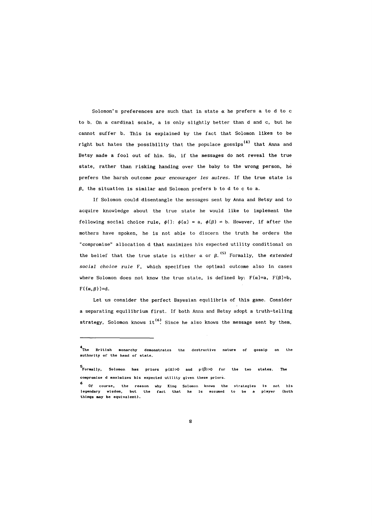Solomon's preferences are such that in state *a* he prefers a to d to c to b. On a cardinal scale, a is only slightly better than d and c, but he cannot suffer b. This is explained by the fact that Solomon likes to be right but hates the possibility that the populace gossips<sup>(4)</sup> that Anna and Betsy made a fool out of him. So, if the messages do not reveal the true state, rather than risking handing over the baby to the wrong person, he prefers the harsh outcome pour encourager *les* autres. **If** the true state is  $\beta$ , the situation is similar and Solomon prefers b to d to c to a.

**If** Solomon could disentangle the messages sent by Anna and Betsy and to acquire knowledge about the true state he would like to implement the following social choice rule,  $\phi()$ :  $\phi(\alpha) = a$ ,  $\phi(\beta) = b$ . However, if after the mothers have spoken, he is not able to discern the truth he orders the "compromise" allocation d that maximizes his expected utility conditional on the belief that the true state is either  $\alpha$  or  $\beta$ . <sup>(5)</sup> Formally, the *extended social choice rule* F, which specifies the optimal outcome also in cases where Solomon does not know the true state, is defined by:  $F(\alpha)=a$ ,  $F(\beta)=b$ ,  $F(\{\alpha,\beta\})=d.$ 

Let us consider the perfect Bayesian equilibria of this game. Consider a separating equilibrium first. **If** both Anna and Betsy adopt a truth-telling strategy, Solomon knows it<sup>(6)</sup>. Since he also knows the message sent by them,

<sup>4</sup>  **The British monarchy demonstrates the destructive nature of gossip on the authority or the head of state.** 

<sup>5&</sup>lt;br>Formally, Solomon has priors p(α)>0 and p(β)>0 for the two states. The **compromise d maximizes hls expected utility glven these priors.** 

<sup>6</sup>**or course, the reason why King Solomon knows the strategies Is not his legendary wisdom, but the fact that he Is assumed lo be a player (both things may be equivalent).**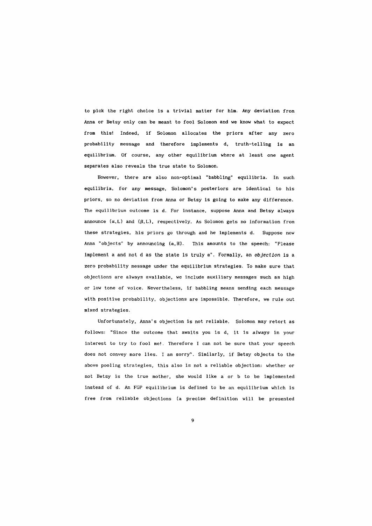to pick the right choice is a trivial matter for him. Any deviation from Anna or Betsy only can be meant to fool Solomon and we know what to expect from this! Indeed, if Solomon allocates the priors after any zero probability message and therefore implements d, truth-telling is an equilibrium. Of course, any other equilibrium where at least one agent separates also reveals the true state to Solomon.

However, there are also non-optimal "babbling" equilibria. In such equilibria, for any message, Solomon's posteriors are identical to his priors, so no deviation from Anna or Betsy is going to make any difference. The equilibrium outcome is d. For instance, suppose Anna and Betsy always announce  $(\alpha, L)$  and  $(\beta, L)$ , respectively. As Solomon gets no information from these strategies, his priors go through and he implements d. Suppose now Anna "objects" by announcing  $(\alpha, H)$ . This amounts to the speech: "Please implement a and not d as the state is truly  $\alpha$ ". Formally, an *objection* is a zero probability message under the equilibrium strategies. To make sure that objections are always available, we include auxiliary messages such as high or low tone of voice. Nevertheless, if babbling means sending each message with positive probability, objections are impossible. Therefore, we rule out mixed strategies.

Unfortunately, Anna's objection is not reliable. Solomon may retort as follows: "Since the outcome that awaits you is d, it is always in your interest to try to fool me!. Therefore I can not be sure that your speech does not convey more lies. I am sorry". Similarly, if Betsy objects to the above pooling strategies, this also is not a reliable objection: whether or not Betsy is the true mother, she would like a or b to be implemented instead of d. An FGP equilibrium is defined to be an equilibrium which is free from reliable objections (a precise definition will be presented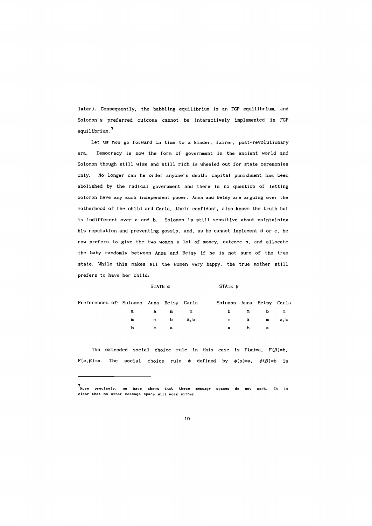later). Consequently, the babbling equilibrium is an FGP equilibrium, and Solomon's preferred outcome cannot be interactively implemented in FGP equilibrium. 7

Let us now go forward in time to a kinder, fairer, post-revolutionary era. Democracy is now the form of government in the ancient world and Solomon though still wise and still rich is wheeled out for state ceremonies only. No longer can he order anyone's death: capital punishment has been abolished by the radical government and there is no question of letting Solomon have any such independent power. Anna and Betsy are arguing over the motherhood of the child and Carla, their confidant, also knows the truth but is indifferent over a and b. Solomon is still sensitive about maintaining his reputation and preventing gossip, and, as he cannot implement d or c, he now prefers to give the two women a lot of money, outcome m, and allocate the baby randomly between Anna and Betsy if he is not sure of the true state. While this makes all the women very happy, the true mother still prefers to have her child:

| Preferences of: Solomon Anna Betsy Carla |  |         | Solomon Anna Betsy Carla |          |  |
|------------------------------------------|--|---------|--------------------------|----------|--|
|                                          |  | a am m  |                          | b m b m  |  |
|                                          |  | m mba,b |                          | m a ma,b |  |
|                                          |  | b a     | $\mathbf{a}$             | b a      |  |

STATE  $\alpha$  STATE  $\beta$ 

The extended social choice rule in this case is  $F(\alpha)=a$ ,  $F(\beta)=b$ ,  $F(\alpha,\beta)=m$ . The social choice rule  $\phi$  defined by  $\phi(\alpha)=a$ ,  $\phi(\beta)=b$  is

<sup>7</sup>  **More precisely, have shown that these message spaces do not work. It Is**  clear that no other message space will work either.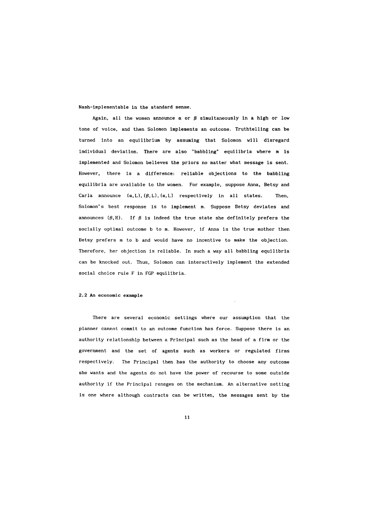Nash-implementable in the standard sense.

Again, all the women announce  $\alpha$  or  $\beta$  simultaneously in a high or low tone of voice, and then Solomon implements an outcome. Truthtelling can be turned into an equilibrium by assuming that Solomon will disregard individual deviation. There are also "babbling" equilibria where m is implemented and Solomon believes the priors no matter what message is sent. However, there is a difference: reliable objections to the babbling equilibria are available to the women. For example, suppose Anna, Betsy and Carla announce  $(\alpha, L)$ ,  $(\beta, L)$ ,  $(\alpha, L)$  respectively in all states. Then, Solomon's best response is to implement m. Suppose Betsy deviates and announces  $({\beta}, H)$ . If  ${\beta}$  is indeed the true state she definitely prefers the socially optimal outcome b to m. However, if Anna is the true mother then Betsy prefers m to b and would have no incentive to make the objection. Therefore, her objection is reliable. In such a way all babbling equilibria can be knocked out. Thus, Solomon can interactively implement the extended social choice rule F in FGP equilibria.

#### 2.2 An economic example

There are several economic settings where our assumption that the planner cannot commit to an outcome function has force. Suppose there is an authority relationship between a Principal such as the head of a firm or the government and the set of agents such as workers or regulated firms respectively. The Principal then has the authority to choose any outcome she wants and the agents do not have the power of recourse to some outside authority if the Principal reneges on the mechanism. An alternative setting is one where although contracts can be written, the messages sent by the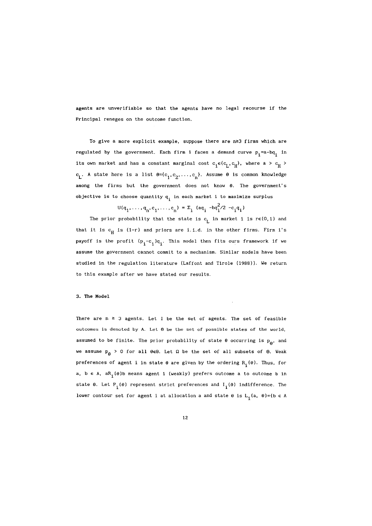agents are unverifiable so that the agents have no legal recourse if the Principal reneges on the outcome function.

To give a more explicit example, suppose there are  $n \geq 3$  firms which are regulated by the government. Each firm i faces a demand curve  $p_i = a - bq_i$  in its own market and has a constant marginal cost  $c_i \in \{c_L, c_H\}$ , where a >  $c_H$  >  $c_{\text{L}}$ . A state here is a list  $\theta = \{c_1, c_2, \ldots, c_n\}$ . Assume  $\theta$  is common knowledge among the firms but the government does not know  $\theta$ . The government's objective is to choose quantity  $q_i$  in each market i to maximize surplus

 $U(q_1, \ldots, q_n, c_1, \ldots, c_n) = \Sigma_i$  (aq<sub>i</sub> -bq<sup>2</sup>/2 -c<sub>i</sub>q<sub>i</sub>)

The prior probability that the state is  $c_{\parallel}$  in market i is re(0,1) and that it is  $c_H$  is (1-r) and priors are i.i.d. in the other firms. Firm i's payoff is the profit  $(p_i - c_i)q_i$ . This model then fits ours framework if we assume the government cannot commit to a mechanism. Similar models have been studied in the regulation literature (Laffont and Tirole (1988)). We return to this example after we have stated our results.

### 3. The Model

There are  $n \geq 3$  agents. Let I be the set of agents. The set of feasible outcomes is denoted by A. Let  $\theta$  be the set of possible states of the world, assumed to be finite. The prior probability of state  $\theta$  occurring is  $p_{\theta}$ , and we assume  $p_{\beta}$  > 0 for all  $\theta \in \Theta$ . Let  $\Omega$  be the set of all subsets of  $\Theta$ . Weak preferences of agent i in state  $\theta$  are given by the ordering  $R_i(\theta)$ . Thus, for a,  $b \in A$ , a $R_i(\theta)$ b means agent i (weakly) prefers outcome a to outcome b in state  $\theta$ . Let  $P_i(\theta)$  represent strict preferences and  $I_i(\theta)$  indifference. The lower contour set for agent i at allocation a and state  $\theta$  is  $L_i(a, \theta) = \{b \in A$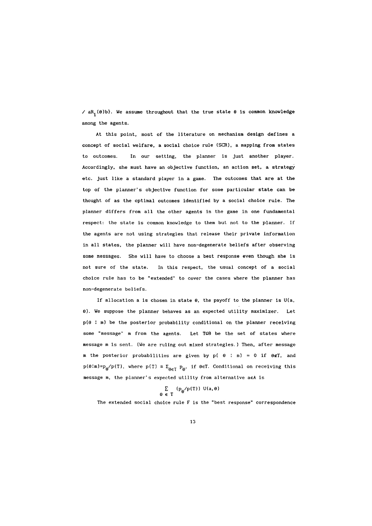$\angle$  aR<sub>1</sub>( $\theta$ )b}. We assume throughout that the true state  $\theta$  is common knowledge among the agents.

At this point, most of the literature on mechanism design defines a concept of social welfare, a social choice rule (SCR), a mapping from states to outcomes. In our setting, the planner is just another player. Accordingly, she must have an objective function, an action set, a strategy etc. just like a standard player in a game. The outcomes that are at the top of the planner's objective function for some particular state can be thought of as the optimal outcomes identified by a social choice rule. The planner differs from all the other agents in the game in one fundamental respect: the state is common knowledge to them but not to the planner. If the agents are not using strategies that release their private information in all states, the planner will have non-degenerate beliefs after observing some messages. She will have to choose a best response even though she is not sure of the state. In this respect, the usual concept of a social choice rule has to be "extended" to cover the cases where the planner has non-degenerate beliefs.

If allocation a is chosen in state  $\theta$ , the payoff to the planner is U(a,  $\theta$ ). We suppose the planner behaves as an expected utility maximizer. Let p(a : m) be the posterior probability conditional on the planner receiving some "message" m from the agents. Let TS0 be the set of states where message m is sent. (We are ruling out mixed strategies.) Then, after message m the posterior probabilities are given by  $p( \theta : m) = 0$  if  $\theta \notin T$ , and  $p(\theta|m)=p_{\theta}/p(T)$ , where  $p(T) = \sum_{\theta \in T} p_{\theta}$ , if  $\theta \in T$ . Conditional on receiving this message m, the planner's expected utility from alternative aeA is

$$
\sum_{\theta \in T} (p_{\theta}/p(T)) U(a, \theta)
$$

The extended social choice rule F is the "best response" correspondence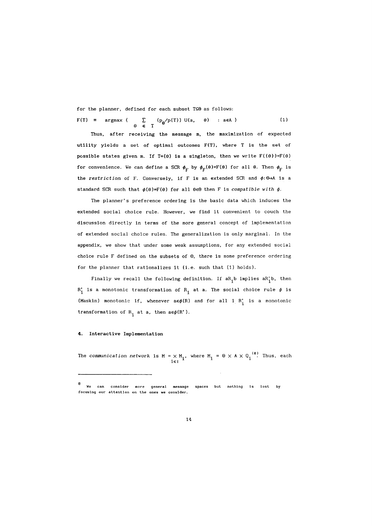for the planner, defined for each subset  $T \subseteq \Theta$  as follows:

 $F(T) = \argmax$  { e  $\sum$  (p<sub>a</sub>/p(T)) U(a, E T e) : aeA } (1)

Thus, after receiving the message m, the maximization of expected utility yields a set of optimal outcomes F(T), where T is the set of possible states given m. If T={ $\theta$ } is a singleton, then we write  $F({\theta})=F(\theta)$ for convenience. We can define a SCR  $\phi_F$  by  $\phi_F(\theta)=F(\theta)$  for all  $\theta$ . Then  $\phi_F$  is the *restriction* of F. Conversely, if F is an extended SCR and  $\phi: \Theta \rightarrow A$  is a standard SCR such that  $\phi(\theta)=F(\theta)$  for all  $\theta \in \Theta$  then F is *compatible with*  $\phi$ .

The planner's preference ordering is the basic data which induces the extended social choice rule. However, we find it convenient to couch the discussion directly in terms of the more general concept of implementation of extended social choice rules. The generalization is only marginal. In the appendix, we show that under some weak assumptions, for any extended social choice rule F defined on the subsets of 8, there is some preference ordering for the planner that rationalizes it (i.e. such that (1) holds).

Finally we recall the following definition. If  $aR_i b$  implies  $aR_i' b$ , then  $R_i'$  is a monotonic transformation of  $R_i$  at a. The social choice rule  $\phi$  is (Maskin) monotonic if, whenever  $a \in \phi(R)$  and for all i  $R_i$  is a monotonic transformation of  $R_i$  at a, then  $a \in \phi(R')$ .

### 4. Interactive Implementation

The *communication network* is  $M = \times M_i$ , where  $M_i = \Theta \times A \times Q_i^{(8)}$ . Thus, each  $i \in I$ 

<sup>8</sup>  We **consider general message spaces but nothing Is lost by focusing our attention on the ones we consider.**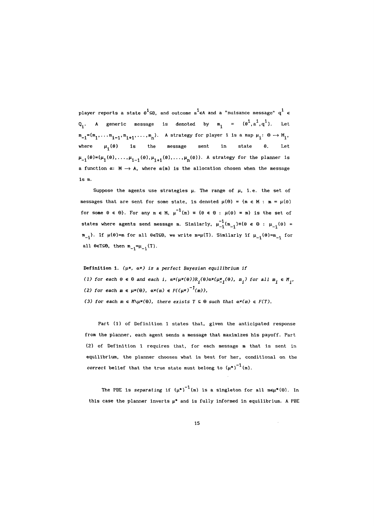player reports a state  $e^i \in \Theta$ , and outcome  $a^i \in A$  and a "nuisance message"  $q^i \in$ A generic message is denoted by  $m_{\hat{\textbf{i}}}$  =  $(\theta^{\hat{\textbf{i}}}, a^{\hat{\textbf{i}}}, q^{\hat{\textbf{i}}}).$  Let  $\mathtt{m_{-i}} = (\mathtt{m_1}, \ldots \mathtt{m_{i-1}}, \mathtt{m_{i+1}}, \ldots, \mathtt{m_n}).$  A strategy for player i is a map  $\mu_i: \Theta \longrightarrow M_i$ , where  $\mu_{\mathbf{i}}(\theta)$  is the message sent in state θ. Let  $\mu_{-i}(\theta) = (\mu_1(\theta), \ldots, \mu_{i-1}(\theta), \mu_{i+1}(\theta), \ldots, \mu_n(\theta)).$  A strategy for the planner is a function  $\alpha: M \to A$ , where  $\alpha(m)$  is the allocation chosen when the message is m.

Suppose the agents use strategies  $\mu$ . The range of  $\mu$ , i.e. the set of messages that are sent for some state, is denoted  $\mu(\theta) = \{m \in M : m = \mu(\theta)\}$ for some  $\theta \in \Theta$ . For any  $m \in M$ ,  $\mu^{-1}(m) = {\theta \in \Theta : \mu(\theta) = m}$  is the set of states where agents send message m. Similarly,  $\mu_{-1}^{-1}$ (m<sub>-1</sub>)={ $\theta \in \theta : \mu_{-1}(\theta) =$  $\mathfrak{m}_{-1}$ <sup>}</sup>. If  $\mu(\theta) = \mathfrak{m}$  for all  $\theta \in T \subseteq \Theta$ , we write  $\mathfrak{m} = \mu(T)$ . Similarly if  $\mu_{-1}(\theta) = \mathfrak{m}_{-1}$  for all  $\theta \in T \subseteq \Theta$ , then  $m_{-i} = \mu_{-i}(T)$ .

Definition 1. *(Il\*,* «\*) *is* a *perfect Bayesian equilibrium if*  (1) for each  $\theta \in \theta$  and each i,  $\alpha^*(\mu^*(\theta))R_i(\theta)\alpha^*(\mu^*_{-i}(\theta), m_i)$  for all  $m_i \in M_i'$ , (2) for each  $m \in \mu^*(\Theta)$ ,  $\alpha^*(m) \in F((\mu^*)^{-1}(m))$ , (3) for each  $m \in M\setminus\mu^*(\Theta)$ , there exists  $T \subseteq \Theta$  such that  $\alpha^*(m) \in F(T)$ .

Part (1) of Definition 1 states that, given the anticipated response from the planner. each agent sends a message that maximizes his payoff. Part (2) of Definition 1 requires that. for each message m that is sent in equilibrium. the planner chooses what is best for her. conditional on the correct belief that the true state must belong to  $(\mu^*)^{-1}(m)$ .

The PBE is separating if  $(\mu^*)^{-1}$  (m) is a singleton for all me $\mu^*(\Theta)$ . In this case the planner inverts  $\mu^*$  and is fully informed in equilibrium. A PBE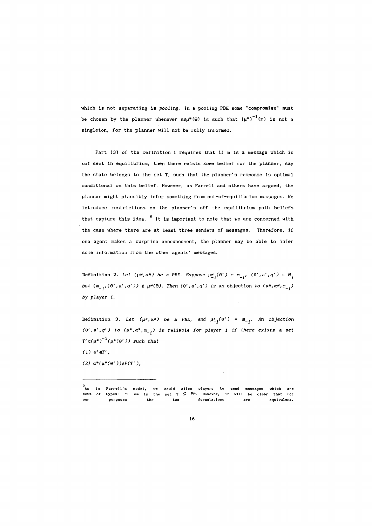which is not separating is *pooling.* In a pooling PBE some "compromise" must be chosen by the planner whenever  $m \in \mu^{*}(\Theta)$  is such that  $(\mu^{*})^{-1}(m)$  is not a singleton, for the planner will not be fully informed.

Part (3) of the Definition 1 requires that if m is a message which is *not* sent in equilibrium, then there exists *some* belief for the planner, say the state belongs to the set T, such that the planner's response is optimal conditional on this belief. However, as Farrell and others have argued, the planner might plausibly infer something from out-of-equilibrium messages. We introduce restrictions on the planner's off the equilibrium path beliefs that capture this idea.  $9$  It is important to note that we are concerned with the case where there are at least three senders of messages. Therefore, if one agent makes a surprise announcement, the planner may be able to infer some information from the other agents' messages.

Definition 2. *Let*  $(\mu^*, \alpha^*)$  be a PBE. Suppose  $\mu^*_{-i}(\theta') = m_{-i'}$ ,  $(\theta', a', q') \in M_i$ but  $(m_{-i},(\theta',a',q')) \notin \mu^*(\theta)$ . Then  $(\theta',a',q')$  is an objection to  $(\mu^*,\alpha^*,m_{-i})$ by *player i.* 

Definition 3. Let  $(\mu^*, \alpha^*)$  be a PBE, and  $\mu^*_{-i}(\theta') = m_{-i}$ . An objection  $(\theta', a', q')$  to  $(\mu^*, \alpha^*, m_{i})$  is reliable for player *i* if there exists a set  $T'c(\mu^*)^{-1}(\mu^*(\theta'))$  such that

(1)  $\theta' \in T'$ ,

(2)  $\alpha^*(\mu^*(\theta')) \notin F(T')$ ,

<sup>9</sup>  **As in sets of**  our **Farrell's types: "1 purposes model, we am in the**  the **could**  set T two **allow players to send messages which are**<br>⊆ **⊕". However, it will be clear that for formulatIons are**  that for **equl valent.**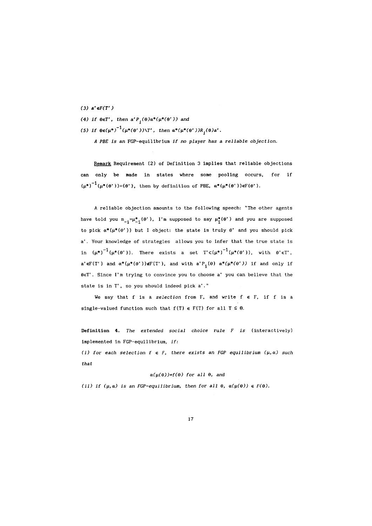(3)  $a' \in F(T')$ 

(4) if  $\theta \in T'$ , then  $a'P_i(\theta)a^*(\mu^*(\theta'))$  and

 $(5)$  if  $\Theta \in (\mu^*)^{-1}(\mu^*(\Theta'))\setminus T'$ , then  $\alpha^*(\mu^*(\Theta'))R_i(\Theta)a'.$ 

*A PBE is an* FGP-equilibrium *if* no *player has* a *reliable objection.* 

Remark Requirement (2) of Definition 3 implies that reliable objections can only be made in states where some pooling occurs, for if  $(\mu^*)^{-1}(\mu^*(\theta'))=\{0\}$ , then by definition of PBE,  $\alpha^*(\mu^*(\theta'))\in F(\theta')$ .

<sup>A</sup>reliable objection amounts to the following speech: "The other agents have told you  $m_{-i}=\mu_{-i}^*(\theta')$ , I'm supposed to say  $\mu_i^*(\theta')$  and you are supposed to pick  $\alpha^*(\mu^*(\theta'))$  but I object: the state is truly  $\theta'$  and you should pick a'. Your knowledge of strategies allows you to infer that the true state is in  $(\mu^*)^{-1}(\mu^*(\theta'))$ . There exists a set  $T' c({\mu^*})^{-1}(\mu^*(\theta'))$ , with  $\theta' \in T'$ , a' $\epsilon$ F(T') and  $\alpha^*(\mu^*(\theta'))$  $\epsilon$ F(T'), and with  $a'P_i(\theta)$   $\alpha^*(\mu^*(\theta'))$  if and only if eeT'. Since I'm trying to convince you to choose a' you can believe that the state is in T', so you should indeed pick a'."

We say that f is a *selection* from F, and write  $f \in F$ , if f is a single-valued function such that  $f(T) \in F(T)$  for all  $T \subseteq \Theta$ .

Definition 4. *The extended social choice rule F is* (interactively) implemented in FGP-equilibrium, *if:* 

(i) for each selection  $f \in F$ , there exists an FGP equilibrium  $(\mu, \alpha)$  such *that* 

 $\alpha(\mu(\theta))=f(\theta)$  for all  $\theta$ , and

(ii) if  $(\mu, \alpha)$  *is an FGP-equilibrium, then for all*  $\theta$ *,*  $\alpha(\mu(\theta)) \in F(\theta)$ *.*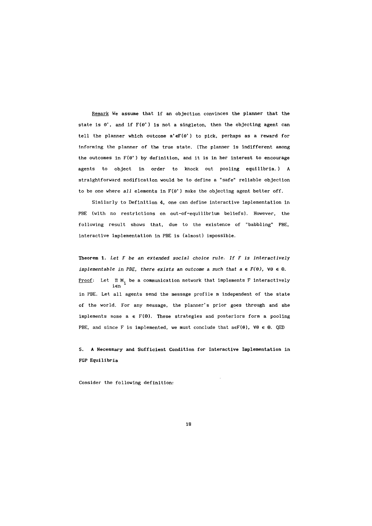Remark We assume that if an objection convinces the planner that the state is  $\theta'$ , and if  $F(\theta')$  is not a singleton, then the objecting agent can tell the planner which outcome  $a' \in F(\theta')$  to pick, perhaps as a reward for informing the planner of the true state. (The planner is indifferent among the outcomes in  $F(\theta')$  by definition, and it is in her interest to encourage agents to object in order to knock out pooling equilibria.) A straightforward modification would be to define a "safe" reliable objection to be one where *all* elements in F(e') make the objecting agent better off.

Similarly to Definition 4, one can define interactive implementation in PBE (with no restrictions on out-of-equilibrium beliefs). However, the following result shows that, due to the existence of "babbling" PBE, interactive implementation in PBE is (almost) impossible.

Theorem 1. *Let F* be an *extended social choice rule. If F is interactively implementable in PBE, there exists an outcome a such that*  $a \in F(\theta)$ *,*  $\forall \theta \in \Theta$ *.* <u>Proof</u>: Let  $\Pi$  M<sub>i</sub> be a communication network that implements F interactively ien in PBE. Let all agents send the message profile m independent of the state of the world. For any message, the planner's prior goes through and she implements some  $a \in F(\Theta)$ . These strategies and posteriors form a pooling PBE, and since F is implemented, we must conclude that  $a \in F(\theta)$ ,  $\forall \theta \in \Theta$ . QED

5. A Necessary and Sufficient Condition for Interactive Implementation in FGP Equilibria

Consider the following definition: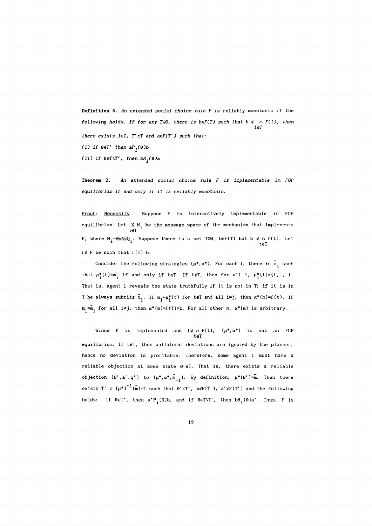**Definition** 5. *An extended social choice rule F is* reliably monotonic *if the following holds. If for any T* $\subseteq$  $\Theta$ , *there is b* $\in$ *F*(*T*) *such that b*  $\in$   $\cap$  *F*(*t*), *then* teT *there exists ieI, T'cT and aeF(T'* ) such *that:*   $(i)$  if  $\theta \in T'$  then  $aP_i(\theta)b$  $(iii)$  if  $\theta \in T \setminus T'$ , then  $bR_i(\theta)a$ 

**Theorem 2.** *An extended social choice rule F is implementable in FG? equilibrium if and only if it is reliably monotonic.* 

Proof: Necessity Suppose F is interactively implementable in FGP equilibrium. Let  $X$  M<sub>i</sub> be the message space of the mechanism that implements i∈I F, where  $M_i = \theta \times A \times Q_i$ . Suppose there is a set TS0, beF(T) but b  $\epsilon \cap F(t)$ . Let teT  $f \in F$  be such that  $f(T)=b$ .

Consider the following strategies  $(\mu^*, \alpha^*)$ . For each i, there is  $\overline{m}_i$  such that  $\mu^*_i(t)=\overline{m}_i$  if and only if teT. If teT, then for all i,  $\mu^*_i(t)=(t,.,.).$ That is, agent i reveals the state truthfully if it is not in T; if it is in T he always submits  $\overline{m}_i$ . If  $m_i = \mu_i^*(t)$  for tell and all i $\neq j$ , then  $\alpha^*(m)=f(t)$ . If  $m_i=\overline{m}_i$  for all  $i \neq j$ , then  $\alpha^*(m)=f(T)=b$ . For all other  $m$ ,  $\alpha^*(m)$  is arbitrary.

Since F is implemented and be  $\land$  F(t),  $(\mu^*, \alpha^*)$  is not an FGP teT equilibrium. If teT, then unilateral deviations are ignored by the planner, hence no deviation is profitable. Therefore, some agent i must have a reliable objection at some state  $\theta' \in T$ . That is, there exists a reliable objection  $(\theta', a', q')$  to  $(\mu^*, \alpha^*, \overline{m}_{-i})$ . By definition,  $\mu^*(\theta')=\overline{m}$ . Then there exists T' c  $(\mu^*)^{-1}(\bar{m})=T$  such that  $\theta' \in T'$ , be  $F(T')$ , a' $\in F(T')$  and the following holds: if  $\theta \in T'$ , then  $a' P_i (\theta) b$ , and if  $\theta \in T \setminus T'$ , then  $b R_i (\theta) a'$ . Thus, F is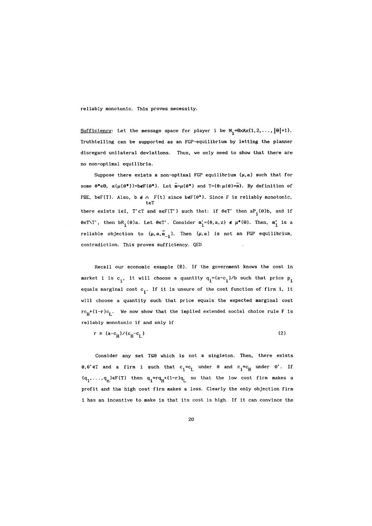reliably monotonic. This proves necessity.

 $\overline{\text{Sufficiency}}$ : Let the message space for player i be  $\texttt{M}_{\texttt{i}}$ =0xAx{1,2,...,|0|+1}. Truthtelling can be supported as an FGP-equilibrium by letting the planner disregard unilateral deviations. Thus. we only need to show that there are no non-optimal equilibria.

Suppose there exists a non-optimal FGP equilibrium  $(\mu, \alpha)$  such that for some  $\theta^* \in \Theta$ ,  $\alpha(\mu(\theta^*))$ =b $\epsilon F(\theta^*)$ . Let  $\overline{m} = \mu(\theta^*)$  and  $T = {\theta : \mu(\theta) = \overline{m}}$ . By definition of PBE, beF(T). Also, b  $f \in \cap$  F(t) since b $f(\theta^*)$ . Since F is reliably monotonic, teT there exists iel. T'cT and  $a \in F(T')$  such that: if  $\theta \in T'$  then  $aP_i(\theta)b$ , and if  $\theta \in T \setminus T'$ , then  $bR_i(\theta)a$ . Let  $\theta \in T'$ . Consider  $m_i^* = {\theta, a, z} \notin \mu^*(\theta)$ . Then,  $m_i^*$  is a reliable objection to  $(\mu, \alpha, \overline{m}_{-i})$ . Then  $(\mu, \alpha)$  is not an FGP equilibrium, contradiction. This proves sufficiency. QED

Recall our economic example (B). If the government knows the cost in market i is c<sub>i</sub>, it will choose a quantity  $q_i = (a-c_i)/b$  such that price  $p_i$ equals marginal cost  $c_{\textbf{i}}^{\phantom{\dag}}$ . If it is unsure of the cost function of firm i, it will choose a quantity such that price equals the expected marginal cost  $rc_{\mu}+(1-r)c_{\mu}$ . We now show that the implied extended social choice rule F is reliably monotonic if and only if

$$
r \ge (a - c_H) / (c_H - c_L) \tag{2}
$$

Consider any set TSO which is not a singleton. Then, there exists  $\theta$ ,  $\theta' \in \mathbb{T}$  and a firm i such that  $c_i = c_l$  under  $\theta$  and  $c_i = c_H$  under  $\theta'$ . If  $(\mathbf{q}_1, \dots, \mathbf{q}_n)$ eF(T) then  $\mathbf{q}_1^{\texttt{=}rq}_H{}^{\texttt{+}(1-r)}\mathbf{q}_L$  so that the low cost firm makes a profit and the high cost firm makes a loss. Clearly the only objection firm i has an incentive to make is that its cost is high. If it can convince the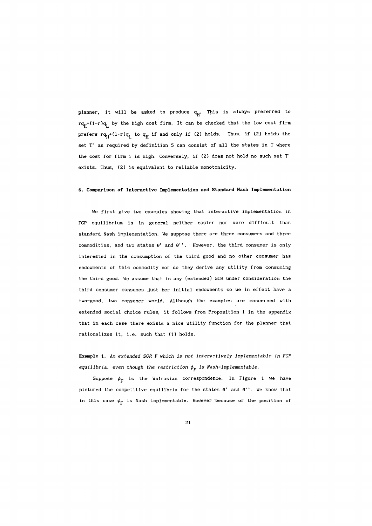planner, it will be asked to produce  $q_H$ . This is always preferred to  $rq_H+(1-r)q_L$  by the high cost firm. It can be checked that the low cost firm prefers  $rq_H^+(1-r)q_L$  to  $q_H$  if and only if (2) holds. Thus, if (2) holds the set T' as required by definition 5 can consist of all the states in T where the cost for firm i is high. Conversely, if (2) does not hold no such set T' exists. Thus, (2) is equivalent to reliable monotonicity.

# 6. Comparison of Interactive Implementation and Standard Nash Implementation

We first give two examples showing that interactive implementation in FGP equilibrium is in general neither easier nor more difficult than standard Nash implementation. We suppose there are three consumers and three commodities, and two states  $\theta'$  and  $\theta''$ . However, the third consumer is only interested in the consumption of the third good and no other consumer has endowments of this commodity nor do they derive any utility from consuming the third good. We assume that in any (extended) SCR under consideration the third consumer consumes just her initial endowments so we in effect have a two-good, two consumer world. Although the examples are concerned with extended social choice rules, it follows from Proposition 1 in the appendix that in each case there exists a nice utility function for the planner that rationalizes it, i.e. such that (1) holds.

Example 1. *An* extended *SCR F which is not interactively implement able in FG? equilibria, even though the restriction*  $\phi_F$  *is Nash-implementable.* 

Suppose  $\phi_F$  is the Walrasian correspondence. In Figure 1 we have pictured the competitive equilibria for the states  $\theta'$  and  $\theta''$ . We know that in this case  $\phi_F$  is Nash implementable. However because of the position of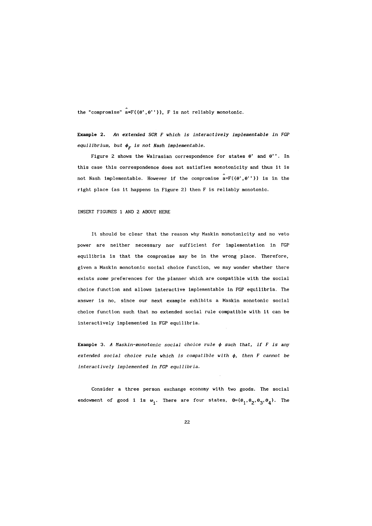the "compromise"  $a = F({0', 0''}), F$  is not reliably monotonic.

Example 2. *An extended SCR F which is interactively implementable in FGP*   $equilibrium, but  $\phi_F$  is not Nash implemented.$ 

Figure 2 shows the Walrasian correspondence for states  $\theta'$  and  $\theta''$ . In this case this correspondence does not satisfies monotonicity and thus it is not Nash implementable. However if the compromise  $a = F(\{\theta', \theta''\})$  is in the right place (as it happens in Figure 2) then F is reliably monotonic.

INSERT FIGURES 1 AND 2 ABOUT HERE

It should be clear that the reason why Maskin monotonicity and no veto power are neither necessary nor sufficient for implementation in FGP equilibria is that the compromise may be in the wrong place. Therefore, given a Maskin monotonic social choice function, we may wonder whether there exists *some* preferences for the planner which are compatible with the social choice function and allows interactive implementable in FGP equilibria. The answer is no, since our next example exhibits a Maskin monotonic social choice function such that no extended social rule compatible with it can be interactively implemented in FGP equilibria.

Example 3. A Maskin-monotonic social choice rule  $\phi$  such that, if  $F$  is any  $extended social choice rule which is compatible with  $\phi$ , then F cannot be$ *interactively implemented in FGP equilibria.* 

Consider a three person exchange economy with two goods. The social endowment of good i is  $\omega_{\mathbf{i}}$ . There are four states,  $\mathbf{\theta} = {\theta_1, \theta_2, \theta_3, \theta_4}$ . The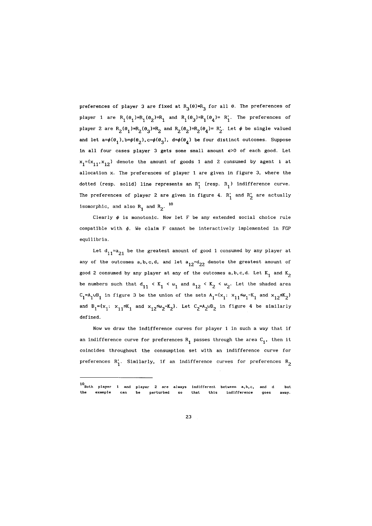preferences of player 3 are fixed at  $R_3(\theta)=R_3$  for all  $\theta$ . The preferences of player 1 are  $R_1(\theta_1)=R_1(\theta_2)=R_1$  and  $R_1(\theta_3)=R_1(\theta_4)=R_1'$ . The preferences of player 2 are  $R_2(\theta_1)=R_2(\theta_3)=R_2$  and  $R_2(\theta_2)=R_2(\theta_4)=R_2'$ . Let  $\phi$  be single valued and let  $a=\phi(\theta_1)$ ,  $b=\phi(\theta_2)$ ,  $c=\phi(\theta_3)$ ,  $d=\phi(\theta_4)$  be four distinct outcomes. Suppose in all four cases player 3 gets some small amount  $\epsilon$ >0 of each good. Let  $x_1 = (x_{11}, x_{12})$  denote the amount of goods 1 and 2 consumed by agent i at allocation x. The preferences of player 1 are given in figure 3, where the dotted (resp. solid) line represents an  $R_1'$  (resp.  $R_1$ ) indifference curve. The preferences of player 2 are given in figure 4.  $R_1'$  and  $R_2'$  are actually isomorphic, and also  $R_1$  and  $R_2$ <sup>. 10</sup>

Clearly  $\phi$  is monotonic. Now let F be any extended social choice rule compatible with  $\phi$ . We claim F cannot be interactively implemented in FGP equilibria.

Let  $d_{11}=a_{21}$  be the greatest amount of good 1 consumed by any player at any of the outcomes  $a, b, c, d$ , and let  $a_{12} = d_{22}$  denote the greatest amount of good 2 consumed by any player at any of the outcomes a, b, c, d. Let  $K_1$  and  $K_2$ be numbers such that  $d_{11} \leq K_1 \leq \omega_1$  and  $a_{12} \leq K_2 \leq \omega_2$ . Let the shaded area  $C_1 = A_1 \cup B_1$  in figure 3 be the union of the sets  $A_1 = \{x_1 : x_{11} \leq \omega_1 - K_1 \text{ and } x_{12} \leq K_2\}$ and  $B_1 = {x_1 : x_{11}} * K_1$  and  $x_{12} * \omega_2 - x_2$ . Let  $C_2 = A_2 \cup B_2$  in figure 4 be similarly defined.

Now we draw the indifference curves for player 1 in such a way that if an indifference curve for preferences  $R_1$  passes through the area  $C_1$ , then it coincides throughout the consumption set with an indifference curve for preferences  $R'_1$ . Similarly, if an indifference curves for preferences  $R_2$ 

<sup>10&</sup>lt;br>Both player 1 and example **player 2 are be perturbed always**  so **indifferent**  that this **between a, h, c, indifference and d goes**  but **away.**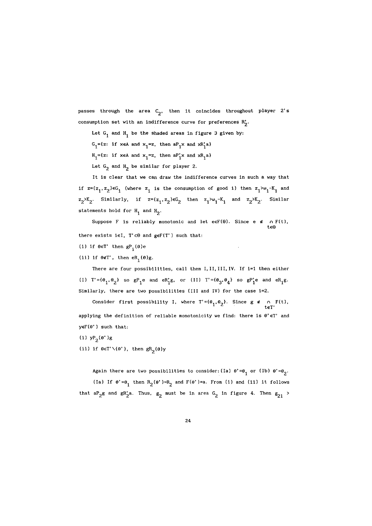passes through the area  $C_2$ , then it coincides throughout player 2's consumption set with an indifference curve for preferences  $R'_2$ .

Let  $G_1$  and  $H_1$  be the shaded areas in figure 3 given by:

 $G_1$ ={z: if xeA and  $x_1$ =z, then  $aP_1x$  and  $xR_1'a$ }

 $H_1 = \{z: \text{ if } x \in A \text{ and } x_1 = z, \text{ then } aP_1'x \text{ and } xR_1 a\}$ 

Let  $G_2$  and  $H_2$  be similar for player 2.

It is clear that we can draw the indifference curves in such a way that if  $z=(z_1,z_2)\in G_1$  (where  $z_1$  is the consumption of good i) then  $z_1\sim v_1-K_1$  and  $z_2$ <sup>2</sup>K<sub>2</sub>. Similarly, if  $z=(z_1, z_2) \in G_2$  then  $z_1 > \omega_1 - K_1$  and  $z_2 > K_2$ . Similar statements hold for  $H_1$  and  $H_2$ .

Suppose F is reliably monotonic and let eeF(0). Since e  $\epsilon$  o F(t), tes there exists  $i \in I$ ,  $T' \subset \Theta$  and  $g \in F(T')$  such that:

- (i) if  $\theta \in T'$  then  $gP_{\text{i}}(\theta)$ e
- (ii) if  $\theta \notin T'$ , then  $eR_i(\theta)g$ .

There are four possibilities, call them I, II, III, IV. If i=1 then either (1)  $T' = {\theta_1, \theta_2}$  so  $gP_1$ e and eR<sub>1</sub><sup>g</sup>, or (II)  $T' = {\theta_3, \theta_4}$  so  $gP_1'$ e and eR<sub>1</sub><sup>g</sup>. Similarly, there are two possibilities (Ill and IV) for the case i=2.

Consider first possibility I, where  $T' = \{\theta_1, \theta_2\}$ . Since  $g \notin \bigcap_{t \in T'} F(t)$ , applying the definition of reliable monotonicity we find: there is  $\theta' \in T'$  and  $y \in F(\theta')$  such that:

- (i)  $yP_2(\theta')g$
- (ii) if  $\theta \in T' \setminus {\theta'}$ , then  $gR_2(\theta)y$

Again there are two possibilities to consider: (Ia)  $\theta' = \theta_1$  or (Ib)  $\theta' = \theta_2$ . (Ia) If  $\theta' = \theta_1$  then  $R_2(\theta') = R_2$  and  $F(\theta') = a$ . From (i) and (ii) it follows that aP<sub>2</sub>g and gR'<sub>2</sub>a. Thus,  $g_2$  must be in area G<sub>2</sub> in figure 4. Then  $g_{21}$  >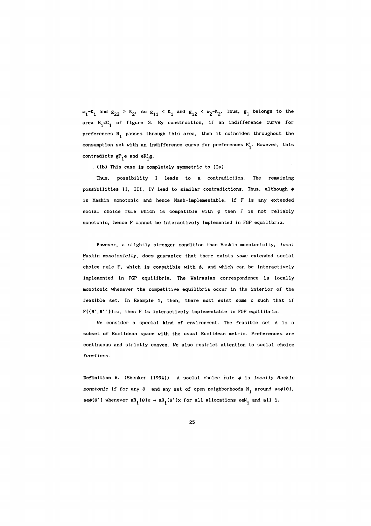$\omega_1$ -K<sub>1</sub> and  $\omega_{22}$  > K<sub>2</sub>, so  $\omega_{11}$  < K<sub>1</sub> and  $\omega_{12}$  <  $\omega_2$ -K<sub>2</sub>. Thus,  $\omega_1$  belongs to the area  $B_1$ cC<sub>1</sub> of figure 3. By construction, if an indifference curve for preferences  $R_1$  passes through this area, then it coincides throughout the consumption set with an indifference curve for preferences  $R'_1$ . However, this contradicts  $g_{1}^{P}e$  and  $e_{1}^{P}g$ .

(Ib) This case is completely symmetric to (la).

Thus, possibility leads to a contradiction. The remaining possibilities II, III, IV lead to similar contradictions. Thus, although  $\phi$ is Maskin monotonic and hence Nash-implementable, if F is any extended social choice rule which is compatible with  $\phi$  then F is not reliably monotonic, hence F cannot be interactively implemented in FGP equilibria.

However, a slightly stronger condition than Maskin monotonicity, *local Haskin monotonicity,* does guarantee that there exists *some* extended social choice rule F, which is compatible with  $\phi$ , and which can be interactively implemented in FGP equilibria. The Walrasian correspondence is locally monotonic whenever the competitive equilibria occur in the interior of the feasible set. In Example 1, then, there must exist *some* c such that if  $F({\theta', \theta''})=c$ , then F is interactively implementable in FGP equilibria.

We consider a special kind of environment. The feasible set A is a subset of Euclidean space with the usual Euclidean metric. Preferences are continuous and strictly convex. We also restrict attention to social choice *functions.* 

Definition 6. (Shenker (1994)) A social choice rule  $\phi$  is *locally Maskin monotonic* if for any  $\theta$  and any set of open neighborhoods  $N_i$  around  $a \in \phi(\theta)$ ,  $a \in \phi(\theta')$  whenever  $aR_i(\theta)x \Rightarrow aR_i(\theta')x$  for all allocations  $x \in N_i$  and all i.

2S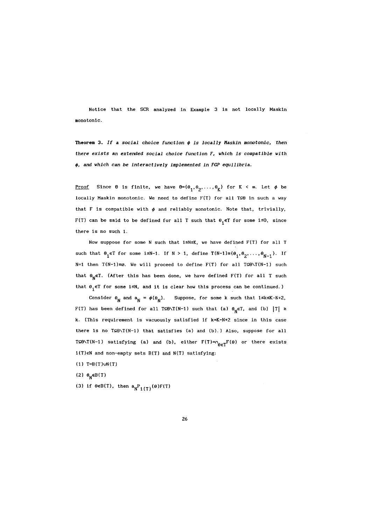Notice that the SCR analyzed in Example 3 is not locally Maskin monotonic.

Theorem 3. If a *social choice function*  $\phi$  is locally Maskin monotonic, then *there exists an extended social choice function F, which is compatible with*  ~, and *which can be interactively implemented in FGP equilibria.* 

<u>Proof</u> Since  $\Theta$  is finite, we have  $\Theta = {\theta_1, \theta_2, \ldots, \theta_K}$  for  $K < \infty$ . Let  $\phi$  be locally Maskin monotonic. We need to define  $F(T)$  for all  $T\subseteq\Theta$  in such a way that F is compatible with  $\phi$  and reliably monotonic. Note that, trivially, F(T) can be said to be defined for all T such that  $\theta_i \in T$  for some i≤0, since there is no such i.

Now suppose for some N such that  $1 \le N \le K$ , we have defined  $F(T)$  for all T such that  $\theta_i \in T$  for some i≤N-1. If N > 1, define  $T(N-1) \equiv {\theta_1, \theta_2, \ldots, \theta_{N-1}}$ . If N=1 then  $T(N-1) \equiv \emptyset$ . We will proceed to define  $F(T)$  for all  $T \subseteq \emptyset \setminus T(N-1)$  such that  $\theta_N \in T$ . (After this has been done, we have defined F(T) for all T such that  $\theta_i \in T$  for some i≤N, and it is clear how this process can be continued.)

Consider  $\theta_N$  and  $a_N = \phi(\theta_N)$ . Suppose, for some k such that 1≤k≤K-N+2, F(T) has been defined for all TSO\T(N-1) such that (a)  $\theta_N \in T$ , and (b)  $|T| \ge$ k. (This requirement is vacuously satisfied if k=K-N+2 since in this case there is no  $T \subseteq \emptyset \setminus T(N-1)$  that satisfies (a) and (b).) Also, suppose for all TSONT(N-1) satisfying (a) and (b), either  $F(T)=\cap_{\theta\in T}F(\theta)$  or there exists i(T)eN and non-empty sets B(T) and N(T) satisfying:

(1)  $T=B(T)$ vN(T)

(2) θ<sub>N</sub>∈B(T)

(3) if  $\theta \in B(T)$ , then  $a_N P_{i(T)}(\theta)F(T)$ 

26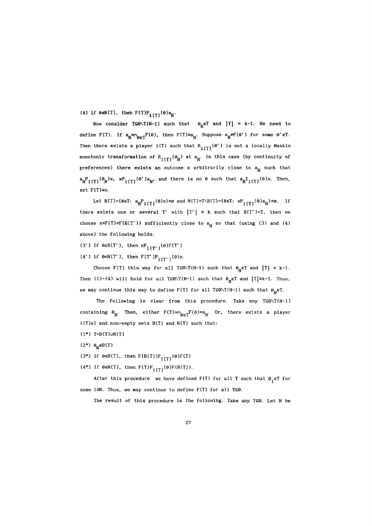(4) if  $\theta \in N(T)$ , then  $F(T)P_{i(T)}(\theta)a_N$ .

Now consider TSONT(N-1) such that  $\theta_N \in T$  and  $|T| = k-1$ . We need to define F(T). If  $a_N = \cap_{\theta \in T} F(\theta)$ , then  $F(T) = a_N$ . Suppose  $a_N \neq F(\theta')$  for some  $\theta' \in T$ . Then there exists a player i(T) such that  $R_{i(T)}(\theta')$  is not a locally Maskin monotonic transformation of  $R_{i(T)}(\theta_N)$  at  $a_N$ . In this case (by continuity of preferences) there exists an outcome x arbitrarily close to  $a_N$  such that  $a_NP_{i(T)}(\theta_N)x$ ,  $xP_{i(T)}(\theta')a_N$ , and there is no  $\theta$  such that  $a_NI_{i(T)}(\theta)x$ . Then,  $set F(T)=x$ .

Let B(T)={ $\theta \in T$ :  $a_N P_{i(T)}(\theta)x$ }  $\neq \emptyset$  and N(T)=T\B(T)={ $\theta \in T$ :  $xP_{i(T)}(\theta)a_N$ }  $\neq \emptyset$ . If there exists one or several T' with  $|T'| \ge k$  such that B(T')=T, then we choose  $x \equiv F(T) \equiv F(B(T'))$  sufficiently close to a<sub>N</sub> so that (using (3) and (4) above) the following holds:

(3') If  $\theta \in B(T')$ , then  $xP_{\{(\mathbf{T}')}(\theta)F(T')\}$ 

(4') if  $\theta \in N(T')$ , then  $F(T')P_{i(T')}(0)x$ .

Choose F(T) this way for all TSO\T(N-1) such that  $\theta_N \in T$  and  $|T| = k-1$ . Then (1)-(4) will hold for all TSO\T(N-1) such that  $\theta_N \in T$  and  $|T| \ge k-1$ . Thus, we may continue this way to define  $F(T)$  for all T⊆0\T(N-1) such that  $\theta_N \in T$ .

The following is clear from this procedure. Take any  $T\subseteq \mathfrak{S}\setminus T(N-1)$ containing  $\theta_N$ . Then, either  $F(T)=\alpha_{\theta \in T}F(\theta)=a_N$ . Or, there exists a player i(T)eI and non-empty sets B(T) and N(T) such that:

- $(1^*)$  T=B(T)vN(T)
- (2\*)  $\theta_{\mathsf{N}} \in B(T)$
- (3\*) If  $\theta \in B(T)$ , then  $F(B(T))P_{i(T)}(\theta)F(T)$
- (4\*) If  $\theta \in N(T)$ , then  $F(T)P_{T(T)}(\theta)F(B(T))$ .

After this procedure we have defined F(T) for all T such that  $\theta_i \in T$  for some i $\leq N$ . Thus, we may continue to define  $F(T)$  for all T $\leq \theta$ .

The result of this procedure is the following. Take any  $T \subseteq \Theta$ . Let N be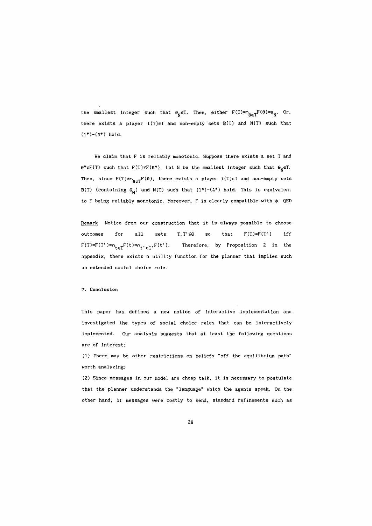the smallest integer such that  $\theta_N \in T$ . Then, either  $F(T)=\theta_{\theta \in T}F(\theta)=a_N$ . Or, there exists a player  $i(T) \in I$  and non-empty sets  $B(T)$  and  $N(T)$  such that  $(1^*)-(4^*)$  hold.

We claim that F is reliably monotonic. Suppose there exists a set T and  $\theta^* \in F(T)$  such that  $F(T) \neq F(\theta^*)$ . Let N be the smallest integer such that  $\theta_N \in T$ . Then, since  $F(T) \neq_{\mathbf{0} \in T} F(\theta)$ , there exists a player i(T)eI and non-empty sets B(T) (containing  $\theta_N$ ) and N(T) such that  $(1^*)-(4^*)$  hold. This is equivalent to F being reliably monotonic. Moreover, F is clearly compatible with  $\phi$ . QED

Remark Notice from our construction that it is always possible to choose outcomes for all sets  $T, T' \subseteq \Theta$  so that  $F(T)=F(T')$  iff  $F(T)=F(T')=n_{t\in T}F(t)=n_t'\in T$ ,  $F(t')$ . Therefore, by Proposition 2 in the appendix, there exists a utility function for the planner that implies such an extended social choice rule.

## 7. Conclusion

This paper has defined a new notion of interactive implementation and investigated the types of social choice rules that can be interactively imp lemen ted. Our analysis suggests that at least the following questions are of interest:

0) There may be other restrictions on beliefs "off the equilibrium path" worth analyzing;

(2) Since messages in our model are cheap talk, it is necessary to postulate that the planner understands the "language" which the agents speak. On the other hand, if messages were costly to send, standard refinements such as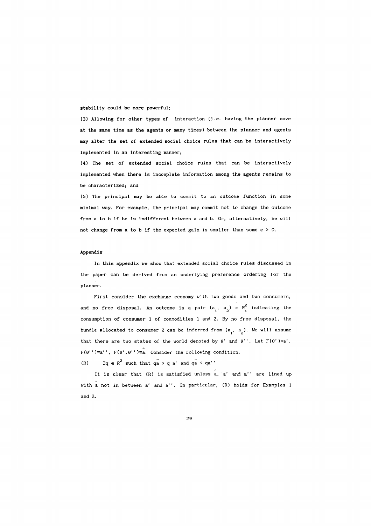stability could be more powerful;

(3) Allowing for other types of interaction (i.e. having the planner move at the same time as the agents or many times) between the planner and agents may alter the set of extended social choice rules that can be interactively implemented in an interesting manner;

(4) The set of extended social choice rules that can be interactively implemented when there is incomplete information among the agents remains to be characterized; and

(5) The principal may be able to commit to an outcome function in some minimal way. For example, the principal may commit not to change the outcome from a to b if he is indifferent between a and b. Or, alternatively, he will not change from a to b if the expected gain is smaller than some  $\varepsilon > 0$ .

#### Appendix

In this appendix we show that extended social choice rules discussed in the paper can be derived from an underlying preference ordering for the planner.

First consider the exchange economy with two goods and two consumers, and no free disposal. An outcome is a pair  $(a_i, a_2) \in \mathbb{R}^2$  indicating the consumption of consumer 1 of commodities 1 and 2. By no free disposal, the bundle allocated to consumer 2 can be inferred from  $(a_1, a_2)$ . We will assume that there are two states of the world denoted by  $\theta'$  and  $\theta''$ . Let  $F(\theta') \equiv a'$ ,  $F(\theta'')\equiv a''$ ,  $F(\theta', \theta'')\equiv a$ . Consider the following condition:

(R)  $\exists q \in R^2$  such that  $qa > q a'$  and  $qa < qa'$ 

It is clear that (R) is satisfied unless a, a' and a'' are lined up with a not in between a' and a''. In particular, (R) holds for Examples 1 and 2.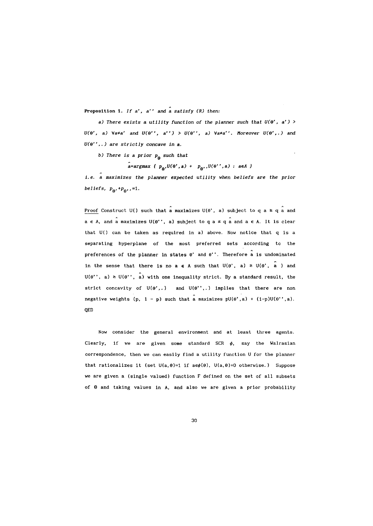Proposition 1. *If* a'. a" and a *satisfy (R) then:* 

a) There exists a *utility function of the planner such that*  $U(\theta', a')$  $U(\theta', a)$   $\forall a \neq a'$  and  $U(\theta', a'') > U(\theta', a)$   $\forall a \neq a''$ . Moreover  $U(\theta', a)$  and *U(a·· •. )* are *strictly concave in* a.

b) *There is* a *prior* Pa *such* that

 $a=argmax$  {  $p_{\mathbf{\theta}}$ ,  $U(\mathbf{\theta}',a)$  +  $p_{\mathbf{\theta}'}, U(\mathbf{\theta}'',a)$  :  $a \in A$  }

i. e. a *maximizes the planner expected utility when beliefs* are *the prior beliefs,*  $p_{\theta}$ ,  $+p_{\theta}$ ,  $=1$ .

Proof Construct U() such that a maximizes U( $\theta$ ', a) subject to q a  $\geq$  q a and  $a \in A$ , and a maximizes  $U(\theta'$ , a) subject to q  $a \le q$  a and  $a \in A$ . It is clear that U() can be taken as required in a) above. Now notice that q is a separating hyperplane of the most preferred sets according to the preferences of the planner in states  $\theta'$  and  $\theta''$ . Therefore a is undominated in the sense that there is no a  $\epsilon$  A such that  $U(\theta', a) \ge U(\theta', a')$  and  $U(\theta'$ , a)  $\geq U(\theta'$ , a) with one inequality strict. By a standard result, the strict concavity of  $U(\theta',.)$  and  $U(\theta'',.)$  implies that there are non negative weights (p, 1 - p) such that a maximizes  $pU(\theta', a) + (1-p)U(\theta'', a)$ . QED

Now consider the general environment and at least three agents. Clearly, if we are given some standard SCR  $\phi$ , say the Walrasian correspondence, then we can easily find a utility function U for the planner that rationalizes it (set  $U(a, \theta)=1$  if  $a \in \phi(\theta)$ ,  $U(a, \theta)=0$  otherwise.) Suppose we are given a (single valued) function F defined on the set of all subsets of  $\theta$  and taking values in A, and also we are given a prior probability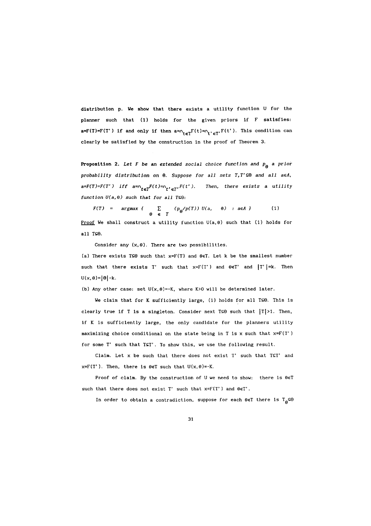distribution p. We show that there exists a utility function U for the planner such that (1) holds for the given priors if F satisfies:  $a=F(T)=F(T')$  if and only if then  $a=\cap_{t\in T}F(t)=\cap_{t'\in T'}F(t')$ . This condition can clearly be satisfied by the construction in the proof of Theorem 3.

**Proposition 2.** Let F be an extended social choice function and  $p_{\rho}$  a prior probability distribution on  $\Theta$ . Suppose for all sets  $T, T' \subseteq \Theta$  and all aeA,  $a = F(T) = F(T')$  iff  $a = 0$ <sub>te</sub> $T$ <sup>F(t)= $0$ <sub>t'eT</sub>, $F(t')$ . Then, there exists a utility</sup> function  $U(a, \theta)$  such that for all TSO:

 $F(T) = \argmax \{ \sum (p_{\alpha}/p(T)) U(a, \theta) : a \in A \}$  (1) e e *T*  Proof We shall construct a utility function  $U(a, \theta)$  such that (1) holds for all  $T \subseteq \Theta$ .

Consider any  $(x, \theta)$ . There are two possibilities.

(a) There exists TSO such that  $x=F(T)$  and  $\theta \in T$ . Let k be the smallest number such that there exists T' such that  $x = F(T')$  and  $\theta \in T'$  and  $|T'|=k$ . Then  $U(x, \theta) = |\theta| - k.$ 

(b) Any other case: set  $U(x, \theta) = -K$ , where  $K > 0$  will be determined later.

We claim that for K sufficiently large, (1) holds for all TSO. This is clearly true if T is a singleton. Consider next TSO such that  $|T|>1$ . Then, if K is sufficiently large, the only candidate for the planners utility maximizing choice conditional on the state being in T is x such that  $x = F(T')$ for some T' such that TST'. To show this, we use the following result.

Claim. Let  $x$  be such that there does not exist  $T'$  such that  $TST'$  and  $x=F(T')$ . Then, there is  $\theta \in T$  such that  $U(x,\theta)=-K$ .

Proof of claim. By the construction of U we need to show: there is  $\theta \in T$ such that there does not exist  $T'$  such that  $x = F(T')$  and  $\theta \in T'$ .

In order to obtain a contradiction, suppose for each  $\theta \in T$  there is  $T_{\alpha} \subseteq \Theta$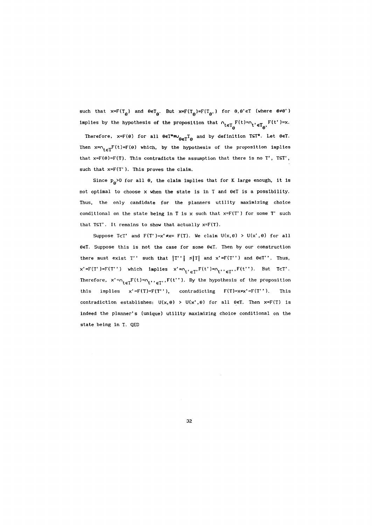such that  $x=F(T_{\theta})$  and  $\theta \in T_{\theta}$ . But  $x=F(T_{\theta})=F(T_{\theta},)$  for  $\theta, \theta' \in T$  (where  $\theta \neq \theta'$ ) implies by the hypothesis of the proposition that  $n_{t \in T_{\Theta}} F(t) = n_t \cdot \epsilon_{\Theta} F(t') = x$ .

Therefore,  $x=F(\theta)$  for all  $\theta \in T^*=\cup_{\theta \in T}T_{\theta}$  and by definition TST\*. Let  $\theta \in T$ . Then  $x = n_{t \in T}F(t) = F(\theta)$  which, by the hypothesis of the proposition implies that  $x=F(\theta)=F(T)$ . This contradicts the assumption that there is no T', TST', such that x=F(T'). This proves the claim.

Since  $p_{\rho}$ >0 for all  $\theta$ , the claim implies that for K large enough, it is not optimal to choose x when the state is in T and  $\theta \in T$  is a possibility. Thus, the only candidate for the planners utility maximizing choice conditional on the state being in T is  $x$  such that  $x = F(T')$  for some T' such that  $TST'$ . It remains to show that actually  $x=F(T)$ .

Suppose TcT' and  $F(T')=x' \neq x= F(T)$ . We claim  $U(x, \theta) > U(x', \theta)$  for all  $\theta \in T$ . Suppose this is not the case for some  $\theta \in T$ . Then by our construction there must exist T'' such that  $|T'|\leq |T|$  and  $x' = F(T'')$  and  $\theta \in T'$ . Thus,  $x' = F(T') = F(T'')$  which implies  $x' = n_t \cdot \epsilon T$ ,  $F(t') = n_t \cdot \epsilon T$ ,  $F(t'')$ . But TeT'. Therefore,  $x' = n_{t \in T}F(t) = n_t$ ,  $F(t'')$ . By the hypothesis of the proposition this implies  $x' = F(T) = F(T'')$ , contradicting  $F(T) = x \neq x' = F(T'')$ . This contradiction establishes:  $U(x, \theta) > U(x', \theta)$  for all  $\theta \in T$ . Then  $x = F(T)$  is indeed the planner's (unique) utility maximizing choice conditional on the state being in T. QED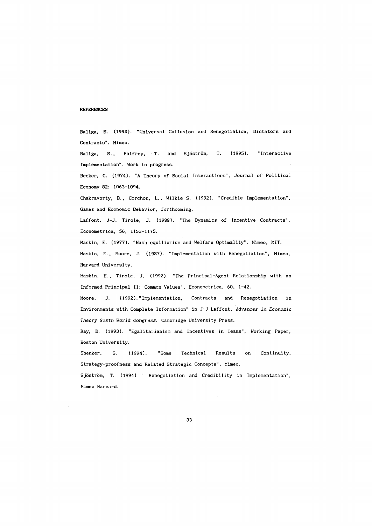## **REFERENCES**

Baliga, S. (1994). "Universal Collusion and Renegotiation, Dictators and Contracts". Mimeo.

Baliga, S., Palfrey, T. and Sjöström, T. (1995). "Interactive Implementation". Work in progress.

Becker, G. (1974). "A Theory of Social Interactions", Journal of Political Economy 82: 1063-1094.

Chakravorty, B., Corchon, L., Wilkie S. (1992). "Credible Implementation", Games and Economic Behavior, forthcoming.

Laffont, J-J, Tirole, J. (1988). "The Dynamics of Incentive Contracts", Econometrica, 56, 1153-1175.

Maskin, E. (1977). "Nash equilibrium and Welfare Optimality". Mimeo, MIT.

Maskin, E., Moore, J. (1987). "Implementation with Renegotiation", Mimeo, Harvard University.

Maskin, E., Tirole, J. (1992). "The Principal-Agent Relationship with an Informed Principal 11: Common Values", Econometrica, 60, 1-42.

Moore, J. (1992). " Implementation, Contracts and Renegotiation in Environments with Complete Information" in J-J Laffont, *Advances in Economic Theory Sixth World Congress.* Cambridge University Press.

Ray, D. (1993). "Egalitarianism and Incentives in Teams", Working Paper, Boston University.

Shenker, S. (1994). "Some Technical Results on Continuity, Strategy-proofness and Related Strategic Concepts", Mimeo.

Sjöström, T. (1994) " Renegotiation and Credibility in Implementation", Mimeo Harvard.